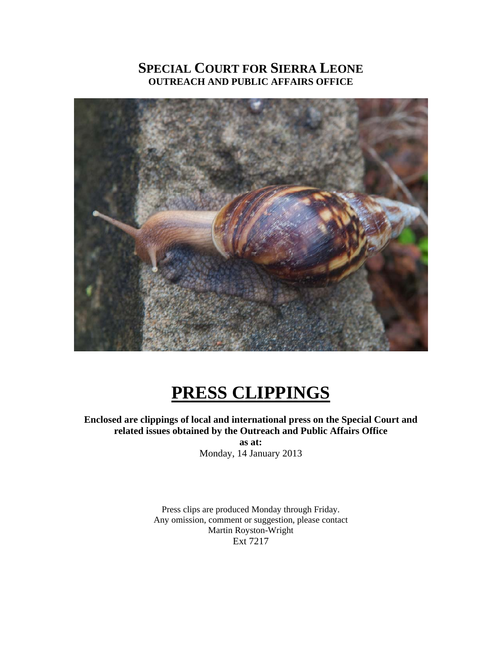# **SPECIAL COURT FOR SIERRA LEONE OUTREACH AND PUBLIC AFFAIRS OFFICE**



# **PRESS CLIPPINGS**

**Enclosed are clippings of local and international press on the Special Court and related issues obtained by the Outreach and Public Affairs Office as at:** 

Monday, 14 January 2013

Press clips are produced Monday through Friday. Any omission, comment or suggestion, please contact Martin Royston-Wright Ext 7217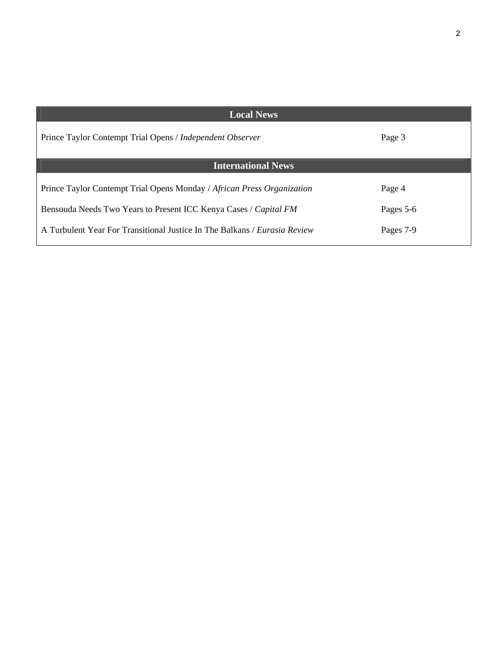| <b>Local News</b>                                                              |           |
|--------------------------------------------------------------------------------|-----------|
| Prince Taylor Contempt Trial Opens / Independent Observer                      | Page 3    |
| <b>International News</b>                                                      |           |
| Prince Taylor Contempt Trial Opens Monday / African Press Organization         | Page 4    |
| Bensouda Needs Two Years to Present ICC Kenya Cases / Capital FM               | Pages 5-6 |
| A Turbulent Year For Transitional Justice In The Balkans <i>Eurosia Review</i> | Pages 7-9 |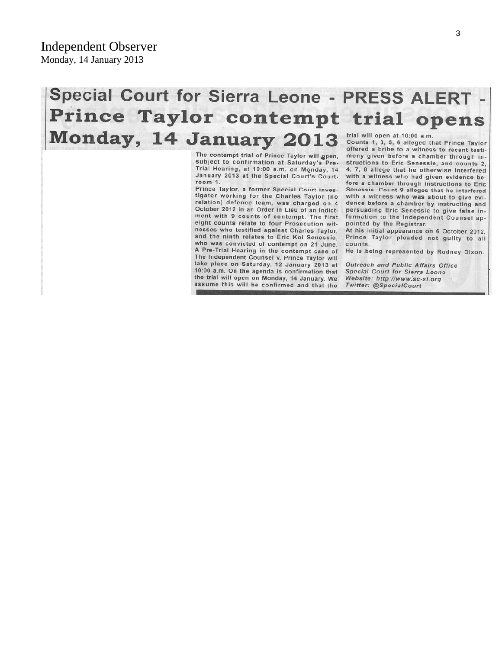# Special Court for Sierra Leone - PRESS ALERT -Prince Taylor contempt trial opens Monday, 14 January 2013 trial will open at 10:00 a.m. Counts 1, 3, 5, 6 alleged that Prince Taylor

The contempt trial of Prince Taylor will gpen, subject to confirmation at Saturday's Pre-Trial Hearing, at 10:00 a.m. on Monday, 14 January 2013 at the Special Court's Courtroom 1.

Prince Taylor, a former Special Court investigator working for the Charles Taylor (no relation) defence team, was charged on 4 October 2012 in an Order in Lieu of an Indictment with 9 counts of contempt. The first eight counts relate to four Prosecution witnesses who testified against Charles Taylor, and the ninth relates to Eric Koi Senessie, who was convicted of contempt on 21 June. A Pre-Trial Hearing in the contempt case of The Independent Counsel v. Prince Taylor will take place on Saturday, 12 January 2013 at 10:00 a.m. On the agenda is confirmation that the trial will open on Monday, 14 January. We assume this will be confirmed and that the

offered a bribe to a witness to recant testimony given before a chamber through instructions to Eric Senessie, and counts 2, 4, 7, 8 allege that he otherwise interfered with a witness who had given evidence before a chamber through instructions to Eric Senessie. Count 9 alleges that he interfered with a witness who was about to give evidence before a chamber by instructing and persuading Eric Senessie to give false information to the Independent Counsel appointed by the Registrar.

At his initial appearance on 6 October 2012, Prince Taylor pleaded not guilty to all counts.

He is being represented by Rodney Dixon.

Outreach and Public Affairs Office **Special Court for Sierra Leone** Website: http://www.sc-sl.org Twitter: @SpecialCourt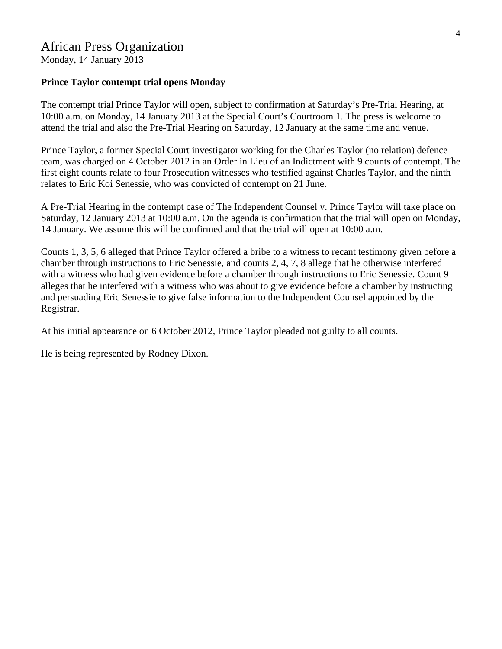Monday, 14 January 2013

#### **Prince Taylor contempt trial opens Monday**

The contempt trial Prince Taylor will open, subject to confirmation at Saturday's Pre-Trial Hearing, at 10:00 a.m. on Monday, 14 January 2013 at the Special Court's Courtroom 1. The press is welcome to attend the trial and also the Pre-Trial Hearing on Saturday, 12 January at the same time and venue.

Prince Taylor, a former Special Court investigator working for the Charles Taylor (no relation) defence team, was charged on 4 October 2012 in an Order in Lieu of an Indictment with 9 counts of contempt. The first eight counts relate to four Prosecution witnesses who testified against Charles Taylor, and the ninth relates to Eric Koi Senessie, who was convicted of contempt on 21 June.

A Pre-Trial Hearing in the contempt case of The Independent Counsel v. Prince Taylor will take place on Saturday, 12 January 2013 at 10:00 a.m. On the agenda is confirmation that the trial will open on Monday, 14 January. We assume this will be confirmed and that the trial will open at 10:00 a.m.

Counts 1, 3, 5, 6 alleged that Prince Taylor offered a bribe to a witness to recant testimony given before a chamber through instructions to Eric Senessie, and counts 2, 4, 7, 8 allege that he otherwise interfered with a witness who had given evidence before a chamber through instructions to Eric Senessie. Count 9 alleges that he interfered with a witness who was about to give evidence before a chamber by instructing and persuading Eric Senessie to give false information to the Independent Counsel appointed by the Registrar.

At his initial appearance on 6 October 2012, Prince Taylor pleaded not guilty to all counts.

He is being represented by Rodney Dixon.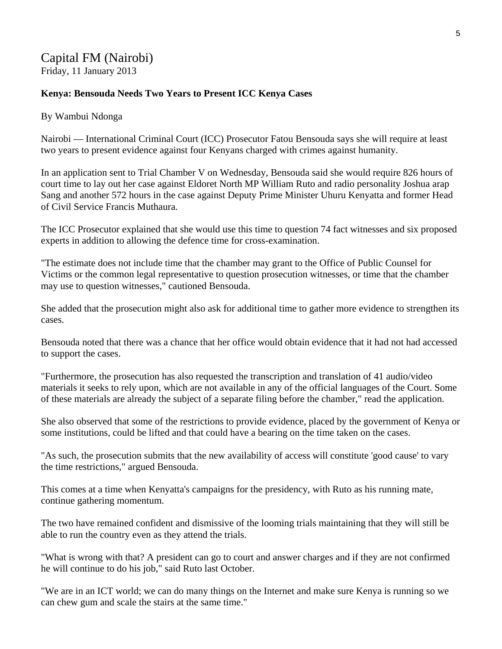## Capital FM (Nairobi) Friday, 11 January 2013

#### **Kenya: Bensouda Needs Two Years to Present ICC Kenya Cases**

#### By Wambui Ndonga

Nairobi — International Criminal Court (ICC) Prosecutor Fatou Bensouda says she will require at least two years to present evidence against four Kenyans charged with crimes against humanity.

In an application sent to Trial Chamber V on Wednesday, Bensouda said she would require 826 hours of court time to lay out her case against Eldoret North MP William Ruto and radio personality Joshua arap Sang and another 572 hours in the case against Deputy Prime Minister Uhuru Kenyatta and former Head of Civil Service Francis Muthaura.

The ICC Prosecutor explained that she would use this time to question 74 fact witnesses and six proposed experts in addition to allowing the defence time for cross-examination.

"The estimate does not include time that the chamber may grant to the Office of Public Counsel for Victims or the common legal representative to question prosecution witnesses, or time that the chamber may use to question witnesses," cautioned Bensouda.

She added that the prosecution might also ask for additional time to gather more evidence to strengthen its cases.

Bensouda noted that there was a chance that her office would obtain evidence that it had not had accessed to support the cases.

"Furthermore, the prosecution has also requested the transcription and translation of 41 audio/video materials it seeks to rely upon, which are not available in any of the official languages of the Court. Some of these materials are already the subject of a separate filing before the chamber," read the application.

She also observed that some of the restrictions to provide evidence, placed by the government of Kenya or some institutions, could be lifted and that could have a bearing on the time taken on the cases.

"As such, the prosecution submits that the new availability of access will constitute 'good cause' to vary the time restrictions," argued Bensouda.

This comes at a time when Kenyatta's campaigns for the presidency, with Ruto as his running mate, continue gathering momentum.

The two have remained confident and dismissive of the looming trials maintaining that they will still be able to run the country even as they attend the trials.

"What is wrong with that? A president can go to court and answer charges and if they are not confirmed he will continue to do his job," said Ruto last October.

"We are in an ICT world; we can do many things on the Internet and make sure Kenya is running so we can chew gum and scale the stairs at the same time."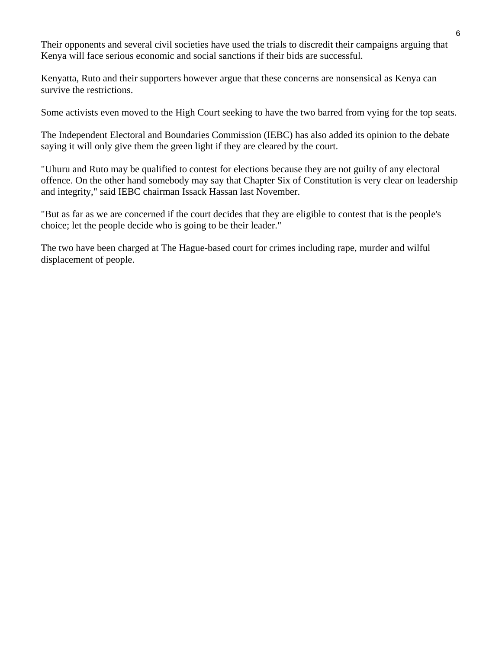Their opponents and several civil societies have used the trials to discredit their campaigns arguing that Kenya will face serious economic and social sanctions if their bids are successful.

Kenyatta, Ruto and their supporters however argue that these concerns are nonsensical as Kenya can survive the restrictions.

Some activists even moved to the High Court seeking to have the two barred from vying for the top seats.

The Independent Electoral and Boundaries Commission (IEBC) has also added its opinion to the debate saying it will only give them the green light if they are cleared by the court.

"Uhuru and Ruto may be qualified to contest for elections because they are not guilty of any electoral offence. On the other hand somebody may say that Chapter Six of Constitution is very clear on leadership and integrity," said IEBC chairman Issack Hassan last November.

"But as far as we are concerned if the court decides that they are eligible to contest that is the people's choice; let the people decide who is going to be their leader."

The two have been charged at The Hague-based court for crimes including rape, murder and wilful displacement of people.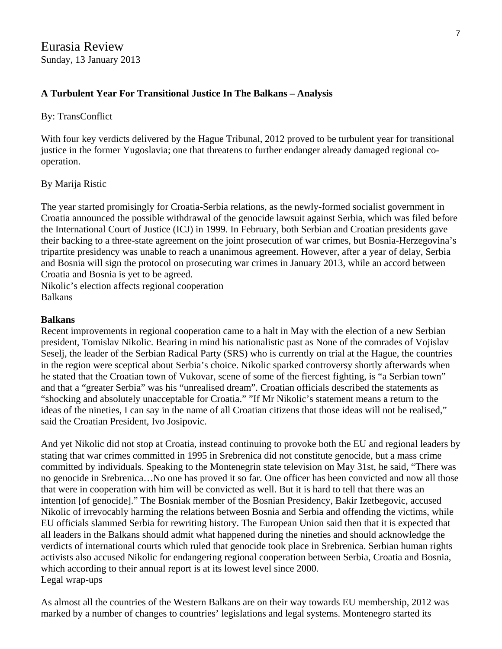### **A Turbulent Year For Transitional Justice In The Balkans – Analysis**

#### By: TransConflict

With four key verdicts delivered by the Hague Tribunal, 2012 proved to be turbulent year for transitional justice in the former Yugoslavia; one that threatens to further endanger already damaged regional cooperation.

#### By Marija Ristic

The year started promisingly for Croatia-Serbia relations, as the newly-formed socialist government in Croatia announced the possible withdrawal of the genocide lawsuit against Serbia, which was filed before the International Court of Justice (ICJ) in 1999. In February, both Serbian and Croatian presidents gave their backing to a three-state agreement on the joint prosecution of war crimes, but Bosnia-Herzegovina's tripartite presidency was unable to reach a unanimous agreement. However, after a year of delay, Serbia and Bosnia will sign the protocol on prosecuting war crimes in January 2013, while an accord between Croatia and Bosnia is yet to be agreed.

Nikolic's election affects regional cooperation Balkans

#### **Balkans**

Recent improvements in regional cooperation came to a halt in May with the election of a new Serbian president, Tomislav Nikolic. Bearing in mind his nationalistic past as None of the comrades of Vojislav Seselj, the leader of the Serbian Radical Party (SRS) who is currently on trial at the Hague, the countries in the region were sceptical about Serbia's choice. Nikolic sparked controversy shortly afterwards when he stated that the Croatian town of Vukovar, scene of some of the fiercest fighting, is "a Serbian town" and that a "greater Serbia" was his "unrealised dream". Croatian officials described the statements as "shocking and absolutely unacceptable for Croatia." "If Mr Nikolic's statement means a return to the ideas of the nineties, I can say in the name of all Croatian citizens that those ideas will not be realised," said the Croatian President, Ivo Josipovic.

And yet Nikolic did not stop at Croatia, instead continuing to provoke both the EU and regional leaders by stating that war crimes committed in 1995 in Srebrenica did not constitute genocide, but a mass crime committed by individuals. Speaking to the Montenegrin state television on May 31st, he said, "There was no genocide in Srebrenica…No one has proved it so far. One officer has been convicted and now all those that were in cooperation with him will be convicted as well. But it is hard to tell that there was an intention [of genocide]." The Bosniak member of the Bosnian Presidency, Bakir Izetbegovic, accused Nikolic of irrevocably harming the relations between Bosnia and Serbia and offending the victims, while EU officials slammed Serbia for rewriting history. The European Union said then that it is expected that all leaders in the Balkans should admit what happened during the nineties and should acknowledge the verdicts of international courts which ruled that genocide took place in Srebrenica. Serbian human rights activists also accused Nikolic for endangering regional cooperation between Serbia, Croatia and Bosnia, which according to their annual report is at its lowest level since 2000. Legal wrap-ups

As almost all the countries of the Western Balkans are on their way towards EU membership, 2012 was marked by a number of changes to countries' legislations and legal systems. Montenegro started its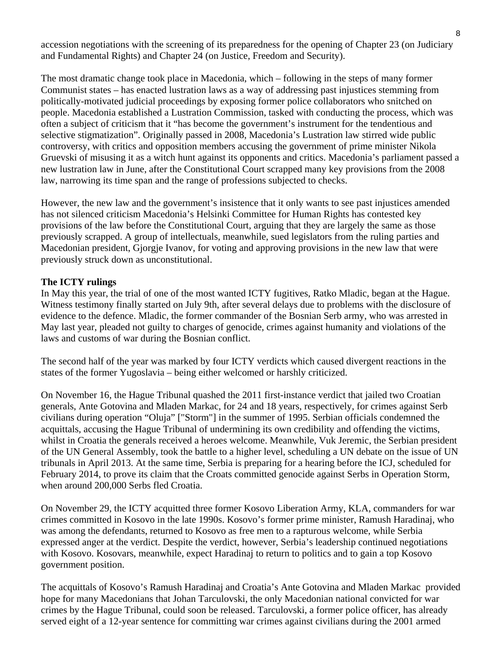accession negotiations with the screening of its preparedness for the opening of Chapter 23 (on Judiciary and Fundamental Rights) and Chapter 24 (on Justice, Freedom and Security).

The most dramatic change took place in Macedonia, which – following in the steps of many former Communist states – has enacted lustration laws as a way of addressing past injustices stemming from politically-motivated judicial proceedings by exposing former police collaborators who snitched on people. Macedonia established a Lustration Commission, tasked with conducting the process, which was often a subject of criticism that it "has become the government's instrument for the tendentious and selective stigmatization". Originally passed in 2008, Macedonia's Lustration law stirred wide public controversy, with critics and opposition members accusing the government of prime minister Nikola Gruevski of misusing it as a witch hunt against its opponents and critics. Macedonia's parliament passed a new lustration law in June, after the Constitutional Court scrapped many key provisions from the 2008 law, narrowing its time span and the range of professions subjected to checks.

However, the new law and the government's insistence that it only wants to see past injustices amended has not silenced criticism Macedonia's Helsinki Committee for Human Rights has contested key provisions of the law before the Constitutional Court, arguing that they are largely the same as those previously scrapped. A group of intellectuals, meanwhile, sued legislators from the ruling parties and Macedonian president, Gjorgje Ivanov, for voting and approving provisions in the new law that were previously struck down as unconstitutional.

#### **The ICTY rulings**

In May this year, the trial of one of the most wanted ICTY fugitives, Ratko Mladic, began at the Hague. Witness testimony finally started on July 9th, after several delays due to problems with the disclosure of evidence to the defence. Mladic, the former commander of the Bosnian Serb army, who was arrested in May last year, pleaded not guilty to charges of genocide, crimes against humanity and violations of the laws and customs of war during the Bosnian conflict.

The second half of the year was marked by four ICTY verdicts which caused divergent reactions in the states of the former Yugoslavia – being either welcomed or harshly criticized.

On November 16, the Hague Tribunal quashed the 2011 first-instance verdict that jailed two Croatian generals, Ante Gotovina and Mladen Markac, for 24 and 18 years, respectively, for crimes against Serb civilians during operation "Oluja" ["Storm"] in the summer of 1995. Serbian officials condemned the acquittals, accusing the Hague Tribunal of undermining its own credibility and offending the victims, whilst in Croatia the generals received a heroes welcome. Meanwhile, Vuk Jeremic, the Serbian president of the UN General Assembly, took the battle to a higher level, scheduling a UN debate on the issue of UN tribunals in April 2013. At the same time, Serbia is preparing for a hearing before the ICJ, scheduled for February 2014, to prove its claim that the Croats committed genocide against Serbs in Operation Storm, when around 200,000 Serbs fled Croatia.

On November 29, the ICTY acquitted three former Kosovo Liberation Army, KLA, commanders for war crimes committed in Kosovo in the late 1990s. Kosovo's former prime minister, Ramush Haradinaj, who was among the defendants, returned to Kosovo as free men to a rapturous welcome, while Serbia expressed anger at the verdict. Despite the verdict, however, Serbia's leadership continued negotiations with Kosovo. Kosovars, meanwhile, expect Haradinaj to return to politics and to gain a top Kosovo government position.

The acquittals of Kosovo's Ramush Haradinaj and Croatia's Ante Gotovina and Mladen Markac provided hope for many Macedonians that Johan Tarculovski, the only Macedonian national convicted for war crimes by the Hague Tribunal, could soon be released. Tarculovski, a former police officer, has already served eight of a 12-year sentence for committing war crimes against civilians during the 2001 armed